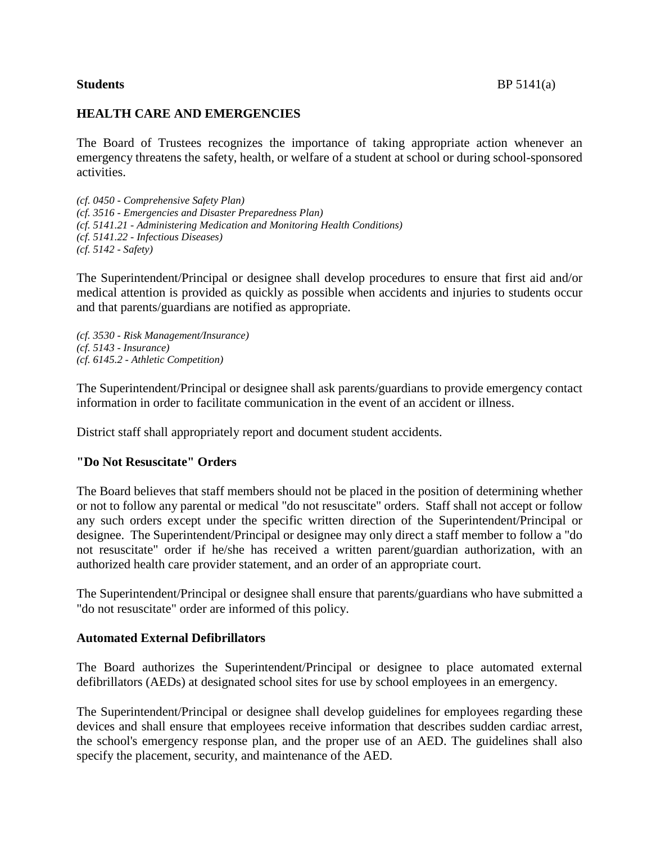## **HEALTH CARE AND EMERGENCIES**

The Board of Trustees recognizes the importance of taking appropriate action whenever an emergency threatens the safety, health, or welfare of a student at school or during school-sponsored activities.

*(cf. 0450 - Comprehensive Safety Plan) (cf. 3516 - Emergencies and Disaster Preparedness Plan) (cf. 5141.21 - Administering Medication and Monitoring Health Conditions) (cf. 5141.22 - Infectious Diseases) (cf. 5142 - Safety)*

The Superintendent/Principal or designee shall develop procedures to ensure that first aid and/or medical attention is provided as quickly as possible when accidents and injuries to students occur and that parents/guardians are notified as appropriate.

*(cf. 3530 - Risk Management/Insurance) (cf. 5143 - Insurance) (cf. 6145.2 - Athletic Competition)*

The Superintendent/Principal or designee shall ask parents/guardians to provide emergency contact information in order to facilitate communication in the event of an accident or illness.

District staff shall appropriately report and document student accidents.

#### **"Do Not Resuscitate" Orders**

The Board believes that staff members should not be placed in the position of determining whether or not to follow any parental or medical "do not resuscitate" orders. Staff shall not accept or follow any such orders except under the specific written direction of the Superintendent/Principal or designee. The Superintendent/Principal or designee may only direct a staff member to follow a "do not resuscitate" order if he/she has received a written parent/guardian authorization, with an authorized health care provider statement, and an order of an appropriate court.

The Superintendent/Principal or designee shall ensure that parents/guardians who have submitted a "do not resuscitate" order are informed of this policy.

#### **Automated External Defibrillators**

The Board authorizes the Superintendent/Principal or designee to place automated external defibrillators (AEDs) at designated school sites for use by school employees in an emergency.

The Superintendent/Principal or designee shall develop guidelines for employees regarding these devices and shall ensure that employees receive information that describes sudden cardiac arrest, the school's emergency response plan, and the proper use of an AED. The guidelines shall also specify the placement, security, and maintenance of the AED.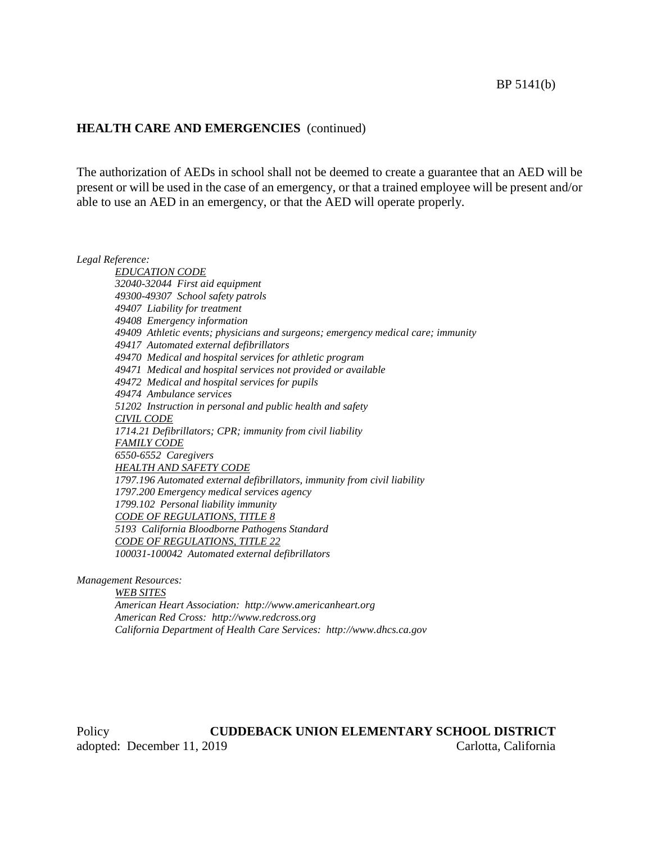#### **HEALTH CARE AND EMERGENCIES** (continued)

The authorization of AEDs in school shall not be deemed to create a guarantee that an AED will be present or will be used in the case of an emergency, or that a trained employee will be present and/or able to use an AED in an emergency, or that the AED will operate properly.

*Legal Reference:*

*EDUCATION CODE 32040-32044 First aid equipment 49300-49307 School safety patrols 49407 Liability for treatment 49408 Emergency information 49409 Athletic events; physicians and surgeons; emergency medical care; immunity 49417 Automated external defibrillators 49470 Medical and hospital services for athletic program 49471 Medical and hospital services not provided or available 49472 Medical and hospital services for pupils 49474 Ambulance services 51202 Instruction in personal and public health and safety CIVIL CODE 1714.21 Defibrillators; CPR; immunity from civil liability FAMILY CODE 6550-6552 Caregivers HEALTH AND SAFETY CODE 1797.196 Automated external defibrillators, immunity from civil liability 1797.200 Emergency medical services agency 1799.102 Personal liability immunity CODE OF REGULATIONS, TITLE 8 5193 California Bloodborne Pathogens Standard CODE OF REGULATIONS, TITLE 22 100031-100042 Automated external defibrillators*

*Management Resources:*

*WEB SITES*

*American Heart Association: http://www.americanheart.org American Red Cross: http://www.redcross.org California Department of Health Care Services: http://www.dhcs.ca.gov*

Policy **CUDDEBACK UNION ELEMENTARY SCHOOL DISTRICT** adopted: December 11, 2019 Carlotta, California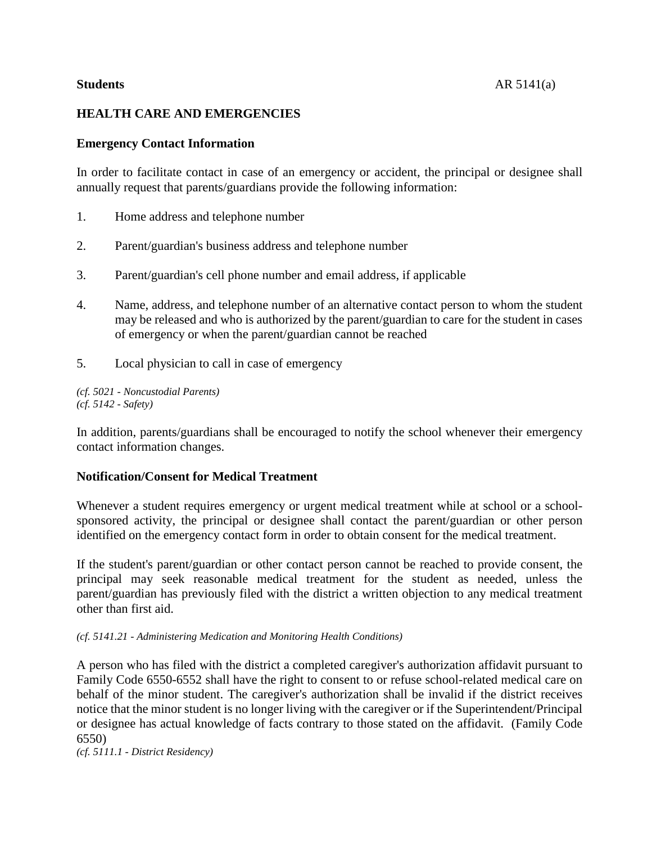# **HEALTH CARE AND EMERGENCIES**

### **Emergency Contact Information**

In order to facilitate contact in case of an emergency or accident, the principal or designee shall annually request that parents/guardians provide the following information:

- 1. Home address and telephone number
- 2. Parent/guardian's business address and telephone number
- 3. Parent/guardian's cell phone number and email address, if applicable
- 4. Name, address, and telephone number of an alternative contact person to whom the student may be released and who is authorized by the parent/guardian to care for the student in cases of emergency or when the parent/guardian cannot be reached
- 5. Local physician to call in case of emergency

*(cf. 5021 - Noncustodial Parents) (cf. 5142 - Safety)*

In addition, parents/guardians shall be encouraged to notify the school whenever their emergency contact information changes.

#### **Notification/Consent for Medical Treatment**

Whenever a student requires emergency or urgent medical treatment while at school or a schoolsponsored activity, the principal or designee shall contact the parent/guardian or other person identified on the emergency contact form in order to obtain consent for the medical treatment.

If the student's parent/guardian or other contact person cannot be reached to provide consent, the principal may seek reasonable medical treatment for the student as needed, unless the parent/guardian has previously filed with the district a written objection to any medical treatment other than first aid.

#### *(cf. 5141.21 - Administering Medication and Monitoring Health Conditions)*

A person who has filed with the district a completed caregiver's authorization affidavit pursuant to Family Code 6550-6552 shall have the right to consent to or refuse school-related medical care on behalf of the minor student. The caregiver's authorization shall be invalid if the district receives notice that the minor student is no longer living with the caregiver or if the Superintendent/Principal or designee has actual knowledge of facts contrary to those stated on the affidavit. (Family Code 6550)

*(cf. 5111.1 - District Residency)*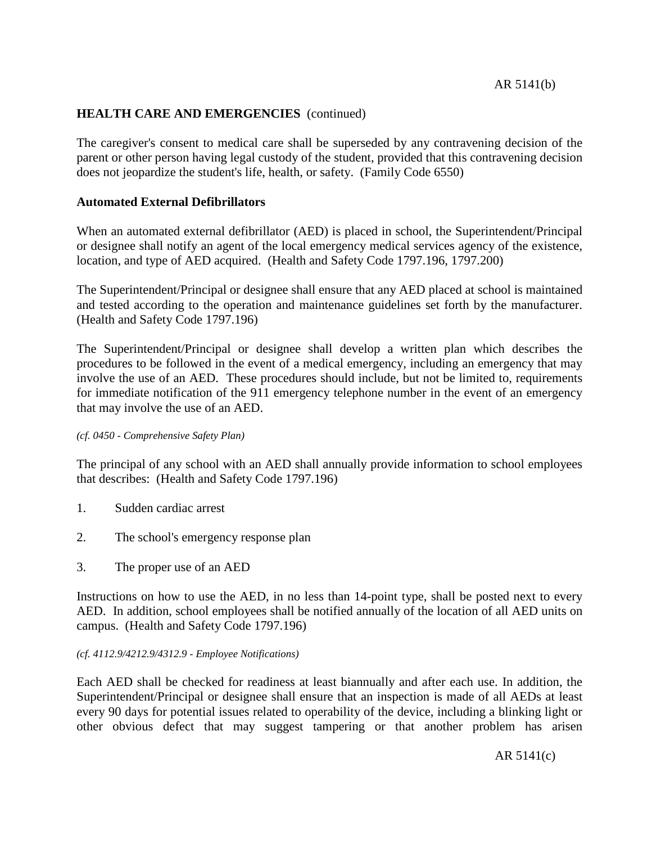# **HEALTH CARE AND EMERGENCIES** (continued)

The caregiver's consent to medical care shall be superseded by any contravening decision of the parent or other person having legal custody of the student, provided that this contravening decision does not jeopardize the student's life, health, or safety. (Family Code 6550)

### **Automated External Defibrillators**

When an automated external defibrillator (AED) is placed in school, the Superintendent/Principal or designee shall notify an agent of the local emergency medical services agency of the existence, location, and type of AED acquired. (Health and Safety Code 1797.196, 1797.200)

The Superintendent/Principal or designee shall ensure that any AED placed at school is maintained and tested according to the operation and maintenance guidelines set forth by the manufacturer. (Health and Safety Code 1797.196)

The Superintendent/Principal or designee shall develop a written plan which describes the procedures to be followed in the event of a medical emergency, including an emergency that may involve the use of an AED. These procedures should include, but not be limited to, requirements for immediate notification of the 911 emergency telephone number in the event of an emergency that may involve the use of an AED.

#### *(cf. 0450 - Comprehensive Safety Plan)*

The principal of any school with an AED shall annually provide information to school employees that describes: (Health and Safety Code 1797.196)

- 1. Sudden cardiac arrest
- 2. The school's emergency response plan
- 3. The proper use of an AED

Instructions on how to use the AED, in no less than 14-point type, shall be posted next to every AED. In addition, school employees shall be notified annually of the location of all AED units on campus. (Health and Safety Code 1797.196)

#### *(cf. 4112.9/4212.9/4312.9 - Employee Notifications)*

Each AED shall be checked for readiness at least biannually and after each use. In addition, the Superintendent/Principal or designee shall ensure that an inspection is made of all AEDs at least every 90 days for potential issues related to operability of the device, including a blinking light or other obvious defect that may suggest tampering or that another problem has arisen